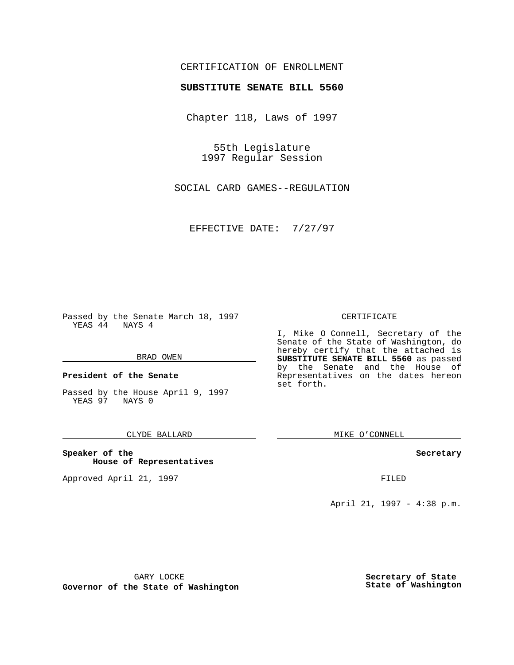## CERTIFICATION OF ENROLLMENT

# **SUBSTITUTE SENATE BILL 5560**

Chapter 118, Laws of 1997

55th Legislature 1997 Regular Session

SOCIAL CARD GAMES--REGULATION

EFFECTIVE DATE: 7/27/97

Passed by the Senate March 18, 1997 YEAS 44 NAYS 4

#### BRAD OWEN

**President of the Senate**

Passed by the House April 9, 1997 YEAS 97 NAYS 0

## CLYDE BALLARD

**Speaker of the House of Representatives**

Approved April 21, 1997 **FILED** 

#### CERTIFICATE

I, Mike O Connell, Secretary of the Senate of the State of Washington, do hereby certify that the attached is **SUBSTITUTE SENATE BILL 5560** as passed by the Senate and the House of Representatives on the dates hereon set forth.

MIKE O'CONNELL

#### **Secretary**

April 21, 1997 - 4:38 p.m.

GARY LOCKE

**Governor of the State of Washington**

**Secretary of State State of Washington**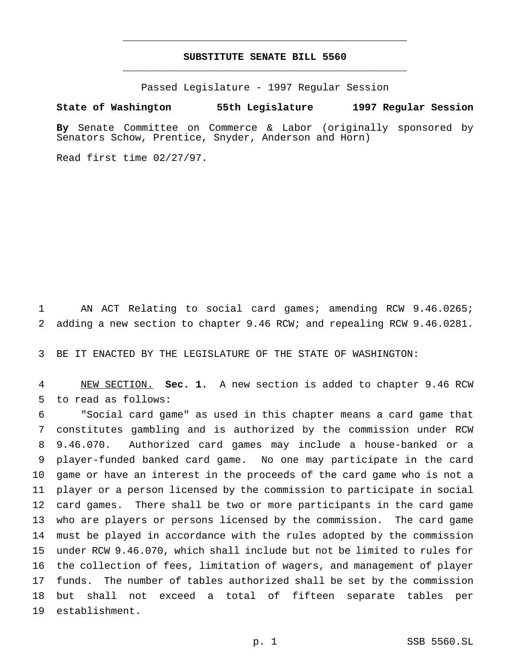# **SUBSTITUTE SENATE BILL 5560** \_\_\_\_\_\_\_\_\_\_\_\_\_\_\_\_\_\_\_\_\_\_\_\_\_\_\_\_\_\_\_\_\_\_\_\_\_\_\_\_\_\_\_\_\_\_\_

\_\_\_\_\_\_\_\_\_\_\_\_\_\_\_\_\_\_\_\_\_\_\_\_\_\_\_\_\_\_\_\_\_\_\_\_\_\_\_\_\_\_\_\_\_\_\_

Passed Legislature - 1997 Regular Session

## **State of Washington 55th Legislature 1997 Regular Session**

**By** Senate Committee on Commerce & Labor (originally sponsored by Senators Schow, Prentice, Snyder, Anderson and Horn)

Read first time 02/27/97.

 AN ACT Relating to social card games; amending RCW 9.46.0265; adding a new section to chapter 9.46 RCW; and repealing RCW 9.46.0281.

BE IT ENACTED BY THE LEGISLATURE OF THE STATE OF WASHINGTON:

 NEW SECTION. **Sec. 1.** A new section is added to chapter 9.46 RCW to read as follows:

 "Social card game" as used in this chapter means a card game that constitutes gambling and is authorized by the commission under RCW 9.46.070. Authorized card games may include a house-banked or a player-funded banked card game. No one may participate in the card game or have an interest in the proceeds of the card game who is not a player or a person licensed by the commission to participate in social card games. There shall be two or more participants in the card game who are players or persons licensed by the commission. The card game must be played in accordance with the rules adopted by the commission under RCW 9.46.070, which shall include but not be limited to rules for the collection of fees, limitation of wagers, and management of player funds. The number of tables authorized shall be set by the commission but shall not exceed a total of fifteen separate tables per establishment.